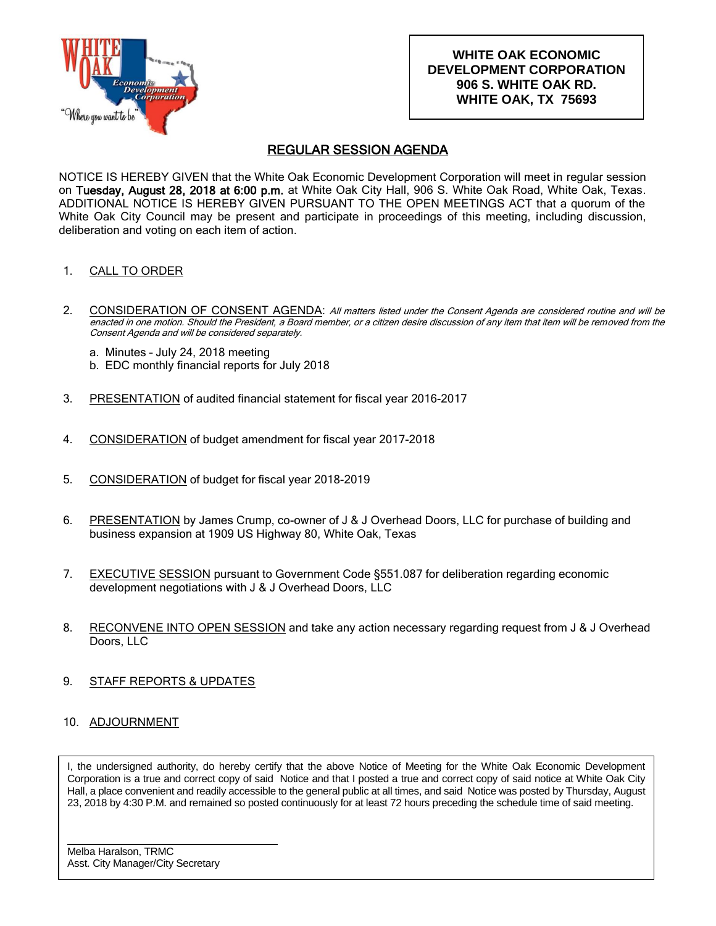

## **WHITE OAK ECONOMIC DEVELOPMENT CORPORATION 906 S. WHITE OAK RD. WHITE OAK, TX 75693**

## REGULAR SESSION AGENDA

NOTICE IS HEREBY GIVEN that the White Oak Economic Development Corporation will meet in regular session on Tuesday, August 28, 2018 at 6:00 p.m. at White Oak City Hall, 906 S. White Oak Road, White Oak, Texas. ADDITIONAL NOTICE IS HEREBY GIVEN PURSUANT TO THE OPEN MEETINGS ACT that a quorum of the White Oak City Council may be present and participate in proceedings of this meeting, including discussion, deliberation and voting on each item of action.

- 1. CALL TO ORDER
- 2. CONSIDERATION OF CONSENT AGENDA: All matters listed under the Consent Agenda are considered routine and will be enacted in one motion. Should the President, a Board member, or a citizen desire discussion of any item that item will be removed from the Consent Agenda and will be considered separately.
	- a. Minutes July 24, 2018 meeting
	- b. EDC monthly financial reports for July 2018
- 3. PRESENTATION of audited financial statement for fiscal year 2016-2017
- 4. CONSIDERATION of budget amendment for fiscal year 2017-2018
- 5. CONSIDERATION of budget for fiscal year 2018-2019
- 6. PRESENTATION by James Crump, co-owner of J & J Overhead Doors, LLC for purchase of building and business expansion at 1909 US Highway 80, White Oak, Texas
- 7. EXECUTIVE SESSION pursuant to Government Code §551.087 for deliberation regarding economic development negotiations with J & J Overhead Doors, LLC
- 8. RECONVENE INTO OPEN SESSION and take any action necessary regarding request from J & J Overhead Doors, LLC
- 9. STAFF REPORTS & UPDATES
- 10. ADJOURNMENT

I, the undersigned authority, do hereby certify that the above Notice of Meeting for the White Oak Economic Development Corporation is a true and correct copy of said Notice and that I posted a true and correct copy of said notice at White Oak City Hall, a place convenient and readily accessible to the general public at all times, and said Notice was posted by Thursday, August 23, 2018 by 4:30 P.M. and remained so posted continuously for at least 72 hours preceding the schedule time of said meeting.

Melba Haralson, TRMC Asst. City Manager/City Secretary